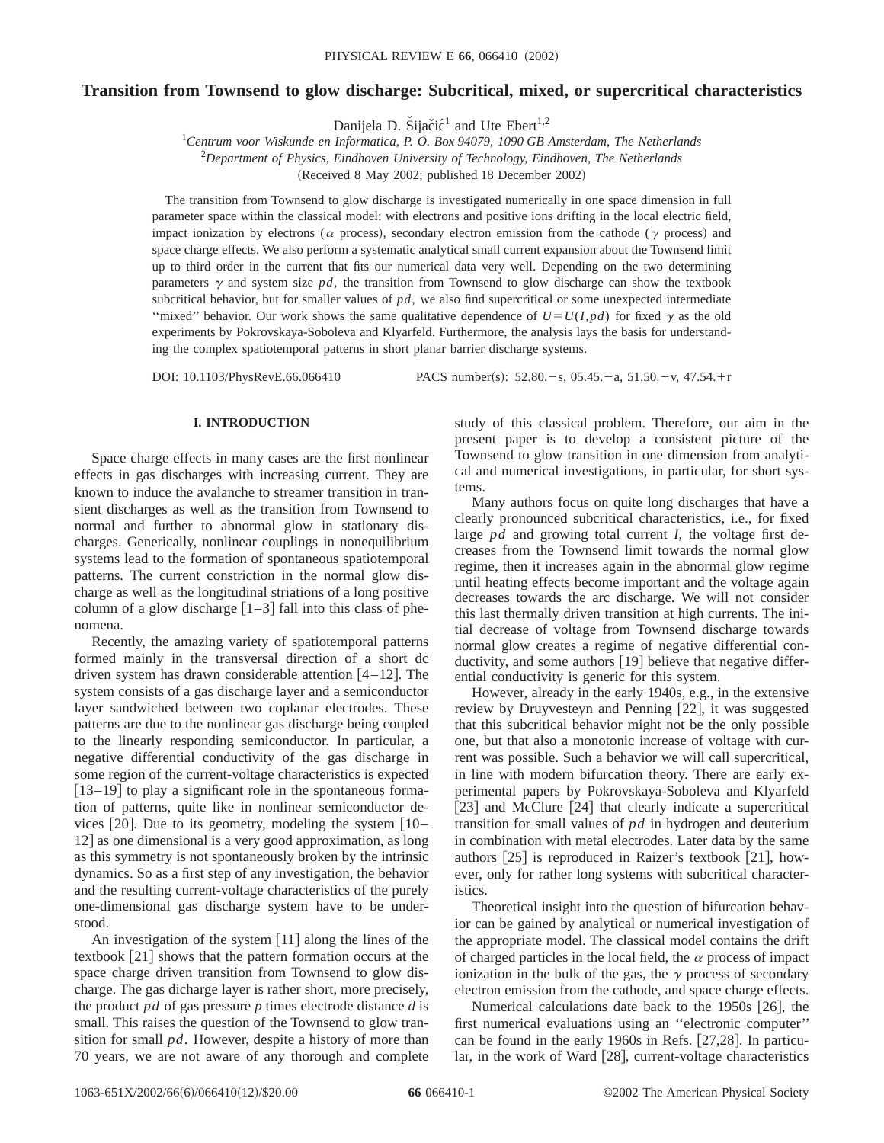# **Transition from Townsend to glow discharge: Subcritical, mixed, or supercritical characteristics**

Danijela D. Šijačić<sup>1</sup> and Ute Ebert<sup>1,2</sup>

1 *Centrum voor Wiskunde en Informatica, P. O. Box 94079, 1090 GB Amsterdam, The Netherlands*

2 *Department of Physics, Eindhoven University of Technology, Eindhoven, The Netherlands*

(Received 8 May 2002; published 18 December 2002)

The transition from Townsend to glow discharge is investigated numerically in one space dimension in full parameter space within the classical model: with electrons and positive ions drifting in the local electric field, impact ionization by electrons ( $\alpha$  process), secondary electron emission from the cathode ( $\gamma$  process) and space charge effects. We also perform a systematic analytical small current expansion about the Townsend limit up to third order in the current that fits our numerical data very well. Depending on the two determining parameters  $\gamma$  and system size  $pd$ , the transition from Townsend to glow discharge can show the textbook subcritical behavior, but for smaller values of *pd*, we also find supercritical or some unexpected intermediate "mixed" behavior. Our work shows the same qualitative dependence of  $U = U(I, pd)$  for fixed  $\gamma$  as the old experiments by Pokrovskaya-Soboleva and Klyarfeld. Furthermore, the analysis lays the basis for understanding the complex spatiotemporal patterns in short planar barrier discharge systems.

DOI:  $10.1103/PhysRevE.66.066410$  PACS number(s):  $52.80 - s$ ,  $05.45 - a$ ,  $51.50 + v$ ,  $47.54 + r$ 

# **I. INTRODUCTION**

Space charge effects in many cases are the first nonlinear effects in gas discharges with increasing current. They are known to induce the avalanche to streamer transition in transient discharges as well as the transition from Townsend to normal and further to abnormal glow in stationary discharges. Generically, nonlinear couplings in nonequilibrium systems lead to the formation of spontaneous spatiotemporal patterns. The current constriction in the normal glow discharge as well as the longitudinal striations of a long positive column of a glow discharge  $\lceil 1-3 \rceil$  fall into this class of phenomena.

Recently, the amazing variety of spatiotemporal patterns formed mainly in the transversal direction of a short dc driven system has drawn considerable attention  $[4-12]$ . The system consists of a gas discharge layer and a semiconductor layer sandwiched between two coplanar electrodes. These patterns are due to the nonlinear gas discharge being coupled to the linearly responding semiconductor. In particular, a negative differential conductivity of the gas discharge in some region of the current-voltage characteristics is expected  $[13–19]$  to play a significant role in the spontaneous formation of patterns, quite like in nonlinear semiconductor devices  $[20]$ . Due to its geometry, modeling the system  $[10-$ 12] as one dimensional is a very good approximation, as long as this symmetry is not spontaneously broken by the intrinsic dynamics. So as a first step of any investigation, the behavior and the resulting current-voltage characteristics of the purely one-dimensional gas discharge system have to be understood.

An investigation of the system  $[11]$  along the lines of the textbook  $\lceil 21 \rceil$  shows that the pattern formation occurs at the space charge driven transition from Townsend to glow discharge. The gas dicharge layer is rather short, more precisely, the product *pd* of gas pressure *p* times electrode distance *d* is small. This raises the question of the Townsend to glow transition for small *pd*. However, despite a history of more than 70 years, we are not aware of any thorough and complete

study of this classical problem. Therefore, our aim in the present paper is to develop a consistent picture of the Townsend to glow transition in one dimension from analytical and numerical investigations, in particular, for short systems.

Many authors focus on quite long discharges that have a clearly pronounced subcritical characteristics, i.e., for fixed large *pd* and growing total current *I*, the voltage first decreases from the Townsend limit towards the normal glow regime, then it increases again in the abnormal glow regime until heating effects become important and the voltage again decreases towards the arc discharge. We will not consider this last thermally driven transition at high currents. The initial decrease of voltage from Townsend discharge towards normal glow creates a regime of negative differential conductivity, and some authors [19] believe that negative differential conductivity is generic for this system.

However, already in the early 1940s, e.g., in the extensive review by Druyvesteyn and Penning  $[22]$ , it was suggested that this subcritical behavior might not be the only possible one, but that also a monotonic increase of voltage with current was possible. Such a behavior we will call supercritical, in line with modern bifurcation theory. There are early experimental papers by Pokrovskaya-Soboleva and Klyarfeld  $[23]$  and McClure  $[24]$  that clearly indicate a supercritical transition for small values of *pd* in hydrogen and deuterium in combination with metal electrodes. Later data by the same authors  $[25]$  is reproduced in Raizer's textbook  $[21]$ , however, only for rather long systems with subcritical characteristics.

Theoretical insight into the question of bifurcation behavior can be gained by analytical or numerical investigation of the appropriate model. The classical model contains the drift of charged particles in the local field, the  $\alpha$  process of impact ionization in the bulk of the gas, the  $\gamma$  process of secondary electron emission from the cathode, and space charge effects.

Numerical calculations date back to the  $1950s$   $[26]$ , the first numerical evaluations using an ''electronic computer'' can be found in the early 1960s in Refs.  $[27,28]$ . In particular, in the work of Ward  $[28]$ , current-voltage characteristics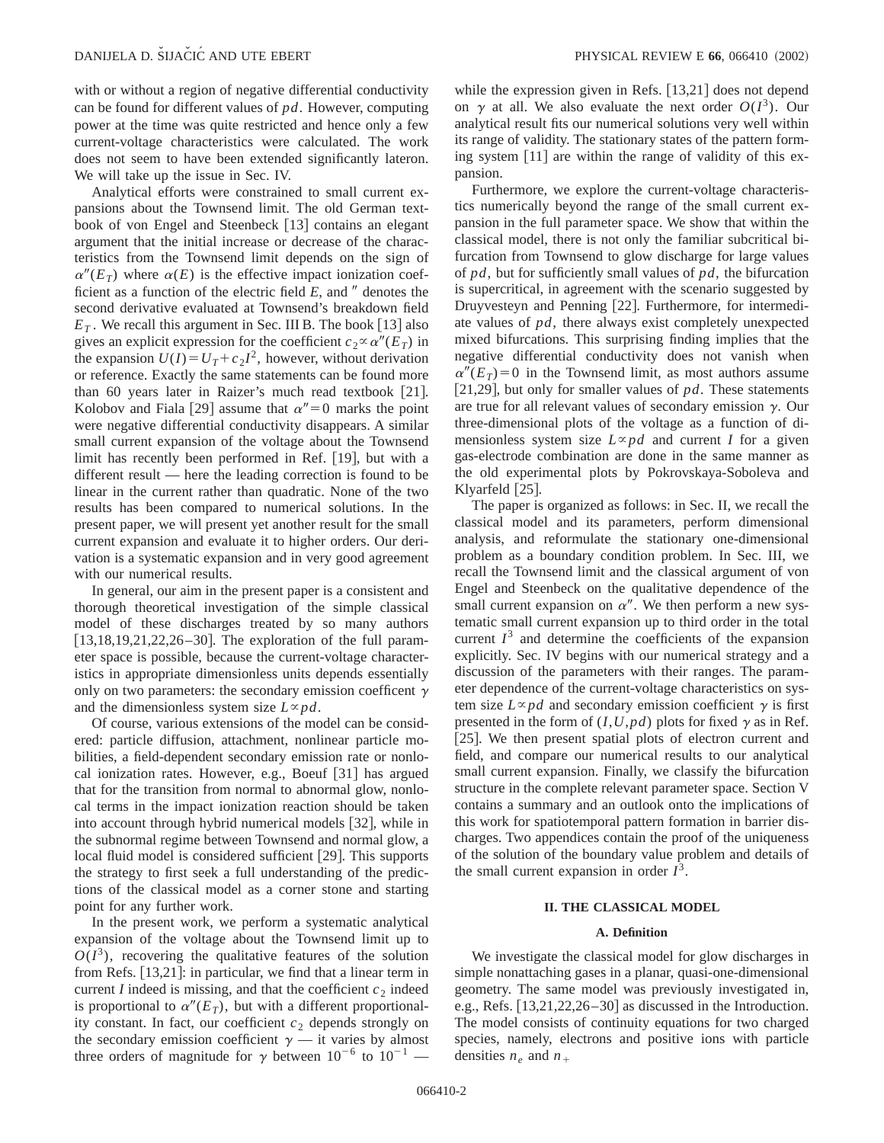with or without a region of negative differential conductivity can be found for different values of *pd*. However, computing power at the time was quite restricted and hence only a few current-voltage characteristics were calculated. The work does not seem to have been extended significantly lateron. We will take up the issue in Sec. IV.

Analytical efforts were constrained to small current expansions about the Townsend limit. The old German textbook of von Engel and Steenbeck  $[13]$  contains an elegant argument that the initial increase or decrease of the characteristics from the Townsend limit depends on the sign of  $\alpha''(E_T)$  where  $\alpha(E)$  is the effective impact ionization coefficient as a function of the electric field  $E$ , and  $\prime\prime$  denotes the second derivative evaluated at Townsend's breakdown field  $E_T$ . We recall this argument in Sec. III B. The book [13] also gives an explicit expression for the coefficient  $c_2 \propto \alpha''(E_T)$  in the expansion  $U(I) = U_T + c_2I^2$ , however, without derivation or reference. Exactly the same statements can be found more than 60 years later in Raizer's much read textbook  $[21]$ . Kolobov and Fiala [29] assume that  $\alpha''=0$  marks the point were negative differential conductivity disappears. A similar small current expansion of the voltage about the Townsend limit has recently been performed in Ref.  $[19]$ , but with a different result — here the leading correction is found to be linear in the current rather than quadratic. None of the two results has been compared to numerical solutions. In the present paper, we will present yet another result for the small current expansion and evaluate it to higher orders. Our derivation is a systematic expansion and in very good agreement with our numerical results.

In general, our aim in the present paper is a consistent and thorough theoretical investigation of the simple classical model of these discharges treated by so many authors  $[13,18,19,21,22,26-30]$ . The exploration of the full parameter space is possible, because the current-voltage characteristics in appropriate dimensionless units depends essentially only on two parameters: the secondary emission coefficent  $\gamma$ and the dimensionless system size  $L \propto pd$ .

Of course, various extensions of the model can be considered: particle diffusion, attachment, nonlinear particle mobilities, a field-dependent secondary emission rate or nonlocal ionization rates. However, e.g., Boeuf  $[31]$  has argued that for the transition from normal to abnormal glow, nonlocal terms in the impact ionization reaction should be taken into account through hybrid numerical models  $[32]$ , while in the subnormal regime between Townsend and normal glow, a local fluid model is considered sufficient [29]. This supports the strategy to first seek a full understanding of the predictions of the classical model as a corner stone and starting point for any further work.

In the present work, we perform a systematic analytical expansion of the voltage about the Townsend limit up to  $O(I^3)$ , recovering the qualitative features of the solution from Refs.  $[13,21]$ : in particular, we find that a linear term in current *I* indeed is missing, and that the coefficient  $c<sub>2</sub>$  indeed is proportional to  $\alpha''(E_T)$ , but with a different proportionality constant. In fact, our coefficient  $c_2$  depends strongly on the secondary emission coefficient  $\gamma$  — it varies by almost three orders of magnitude for  $\gamma$  between  $10^{-6}$  to  $10^{-1}$  —

while the expression given in Refs.  $\left| 13,21 \right|$  does not depend on  $\gamma$  at all. We also evaluate the next order  $O(I^3)$ . Our analytical result fits our numerical solutions very well within its range of validity. The stationary states of the pattern forming system  $[11]$  are within the range of validity of this expansion.

Furthermore, we explore the current-voltage characteristics numerically beyond the range of the small current expansion in the full parameter space. We show that within the classical model, there is not only the familiar subcritical bifurcation from Townsend to glow discharge for large values of *pd*, but for sufficiently small values of *pd*, the bifurcation is supercritical, in agreement with the scenario suggested by Druyvesteyn and Penning [22]. Furthermore, for intermediate values of *pd*, there always exist completely unexpected mixed bifurcations. This surprising finding implies that the negative differential conductivity does not vanish when  $\alpha''(E_T)=0$  in the Townsend limit, as most authors assume [21,29], but only for smaller values of  $pd$ . These statements are true for all relevant values of secondary emission  $\gamma$ . Our three-dimensional plots of the voltage as a function of dimensionless system size  $L \propto pd$  and current *I* for a given gas-electrode combination are done in the same manner as the old experimental plots by Pokrovskaya-Soboleva and Klyarfeld  $[25]$ .

The paper is organized as follows: in Sec. II, we recall the classical model and its parameters, perform dimensional analysis, and reformulate the stationary one-dimensional problem as a boundary condition problem. In Sec. III, we recall the Townsend limit and the classical argument of von Engel and Steenbeck on the qualitative dependence of the small current expansion on  $\alpha''$ . We then perform a new systematic small current expansion up to third order in the total current  $I<sup>3</sup>$  and determine the coefficients of the expansion explicitly. Sec. IV begins with our numerical strategy and a discussion of the parameters with their ranges. The parameter dependence of the current-voltage characteristics on system size  $L \propto pd$  and secondary emission coefficient  $\gamma$  is first presented in the form of  $(I, U, pd)$  plots for fixed  $\gamma$  as in Ref. [25]. We then present spatial plots of electron current and field, and compare our numerical results to our analytical small current expansion. Finally, we classify the bifurcation structure in the complete relevant parameter space. Section V contains a summary and an outlook onto the implications of this work for spatiotemporal pattern formation in barrier discharges. Two appendices contain the proof of the uniqueness of the solution of the boundary value problem and details of the small current expansion in order  $I<sup>3</sup>$ .

## **II. THE CLASSICAL MODEL**

## **A. Definition**

We investigate the classical model for glow discharges in simple nonattaching gases in a planar, quasi-one-dimensional geometry. The same model was previously investigated in, e.g., Refs.  $[13,21,22,26-30]$  as discussed in the Introduction. The model consists of continuity equations for two charged species, namely, electrons and positive ions with particle densities  $n_e$  and  $n_+$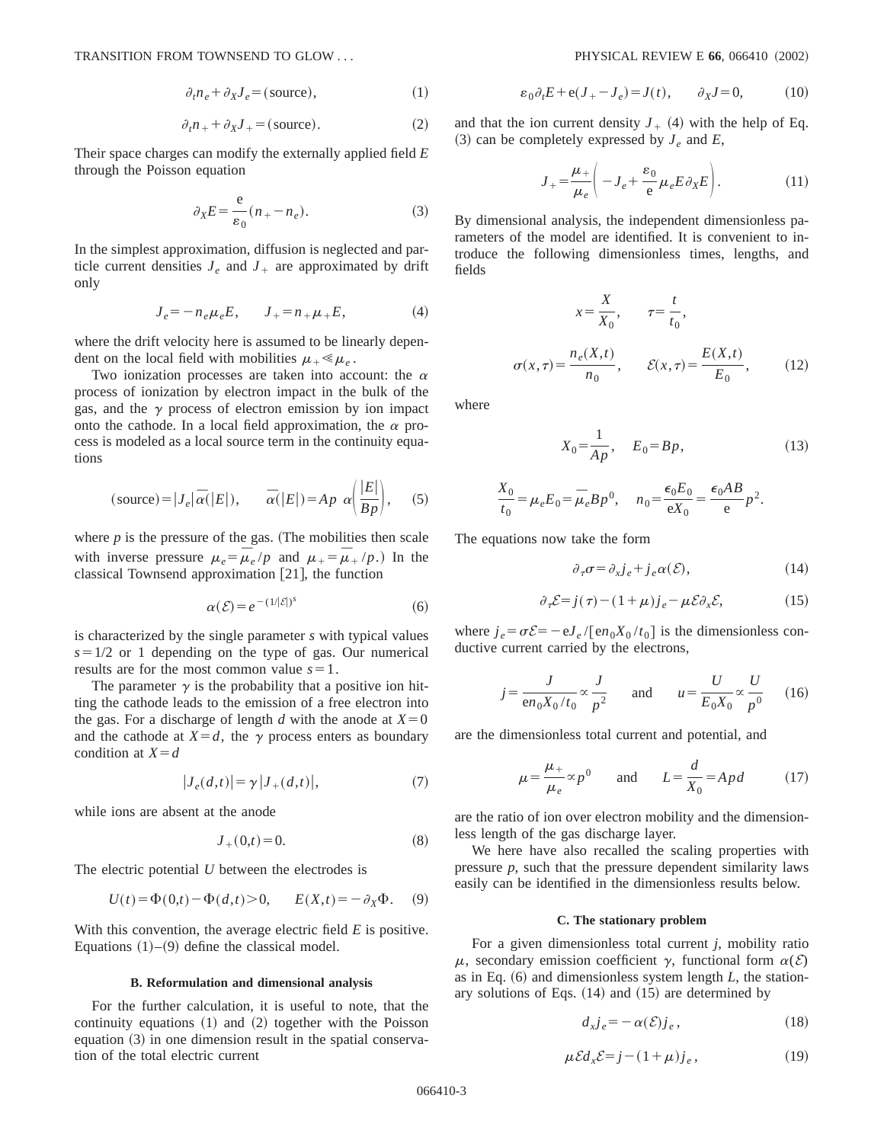$$
\partial_t n_e + \partial_X J_e = \text{(source)},\tag{1}
$$

$$
\partial_t n_+ + \partial_X J_+ = \text{(source)}.
$$
 (2)

Their space charges can modify the externally applied field *E* through the Poisson equation

$$
\partial_X E = \frac{e}{\varepsilon_0} (n_+ - n_e). \tag{3}
$$

In the simplest approximation, diffusion is neglected and particle current densities  $J_e$  and  $J_+$  are approximated by drift only

$$
J_e = -n_e \mu_e E, \qquad J_+ = n_+ \mu_+ E,\tag{4}
$$

where the drift velocity here is assumed to be linearly dependent on the local field with mobilities  $\mu_+ \ll \mu_e$ .

Two ionization processes are taken into account: the  $\alpha$ process of ionization by electron impact in the bulk of the gas, and the  $\gamma$  process of electron emission by ion impact onto the cathode. In a local field approximation, the  $\alpha$  process is modeled as a local source term in the continuity equations

(source)=
$$
|J_e|\bar{\alpha}(|E|)
$$
,  $\bar{\alpha}(|E|)=Ap \alpha \left(\frac{|E|}{Bp}\right)$ , (5)

where  $p$  is the pressure of the gas. (The mobilities then scale with inverse pressure  $\mu_e = \bar{\mu}_e / p$  and  $\mu_{\pm} = \bar{\mu}_{\pm} / p$ .) In the classical Townsend approximation  $[21]$ , the function

$$
\alpha(\mathcal{E}) = e^{-(1/|\mathcal{E}|)^s} \tag{6}
$$

is characterized by the single parameter *s* with typical values  $s=1/2$  or 1 depending on the type of gas. Our numerical results are for the most common value  $s=1$ .

The parameter  $\gamma$  is the probability that a positive ion hitting the cathode leads to the emission of a free electron into the gas. For a discharge of length *d* with the anode at  $X=0$ and the cathode at  $X = d$ , the  $\gamma$  process enters as boundary condition at  $X = d$ 

$$
|J_e(d,t)| = \gamma |J_+(d,t)|,\tag{7}
$$

while ions are absent at the anode

$$
J_+(0,t) = 0.\t\t(8)
$$

The electric potential *U* between the electrodes is

$$
U(t) = \Phi(0,t) - \Phi(d,t) > 0, \qquad E(X,t) = -\partial_X \Phi. \tag{9}
$$

With this convention, the average electric field *E* is positive. Equations  $(1)$ – $(9)$  define the classical model.

## **B. Reformulation and dimensional analysis**

For the further calculation, it is useful to note, that the continuity equations  $(1)$  and  $(2)$  together with the Poisson equation  $(3)$  in one dimension result in the spatial conservation of the total electric current

$$
\varepsilon_0 \partial_t E + e(J_+ - J_e) = J(t), \qquad \partial_X J = 0,
$$
 (10)

and that the ion current density  $J_+$  (4) with the help of Eq.  $(3)$  can be completely expressed by  $J_e$  and  $E$ ,

$$
J_{+} = \frac{\mu_{+}}{\mu_{e}} \left( -J_{e} + \frac{\varepsilon_{0}}{e} \mu_{e} E \partial_{X} E \right). \tag{11}
$$

By dimensional analysis, the independent dimensionless parameters of the model are identified. It is convenient to introduce the following dimensionless times, lengths, and fields

$$
x = \frac{X}{X_0}, \qquad \tau = \frac{t}{t_0},
$$

$$
\sigma(x,\tau) = \frac{n_e(X,t)}{n_0}, \qquad \mathcal{E}(x,\tau) = \frac{E(X,t)}{E_0}, \qquad (12)
$$

where

$$
X_0 = \frac{1}{Ap}, \quad E_0 = Bp,\tag{13}
$$

$$
\frac{X_0}{t_0} = \mu_e E_0 = \bar{\mu}_e B p^0, \quad n_0 = \frac{\epsilon_0 E_0}{e X_0} = \frac{\epsilon_0 A B}{e} p^2.
$$

The equations now take the form

$$
\partial_{\tau}\sigma = \partial_{x}j_{e} + j_{e}\alpha(\mathcal{E}),\tag{14}
$$

$$
\partial_{\tau} \mathcal{E} = j(\tau) - (1 + \mu) j_e - \mu \mathcal{E} \partial_x \mathcal{E},\tag{15}
$$

where  $j_e = \sigma \mathcal{E} = -eJ_e / [\epsilon n_0 X_0 / t_0]$  is the dimensionless conductive current carried by the electrons,

$$
j = \frac{J}{en_0 X_0 / t_0} \propto \frac{J}{p^2}
$$
 and  $u = \frac{U}{E_0 X_0} \propto \frac{U}{p^0}$  (16)

are the dimensionless total current and potential, and

$$
\mu = \frac{\mu_+}{\mu_e} \propto p^0 \qquad \text{and} \qquad L = \frac{d}{X_0} = Apd \tag{17}
$$

are the ratio of ion over electron mobility and the dimensionless length of the gas discharge layer.

We here have also recalled the scaling properties with pressure *p*, such that the pressure dependent similarity laws easily can be identified in the dimensionless results below.

#### **C. The stationary problem**

For a given dimensionless total current *j*, mobility ratio  $\mu$ , secondary emission coefficient  $\gamma$ , functional form  $\alpha(\mathcal{E})$ as in Eq.  $(6)$  and dimensionless system length  $L$ , the stationary solutions of Eqs.  $(14)$  and  $(15)$  are determined by

$$
d_{x}j_{e} = -\alpha(\mathcal{E})j_{e},\qquad(18)
$$

$$
\mu \mathcal{E} d_x \mathcal{E} = j - (1 + \mu) j_e, \qquad (19)
$$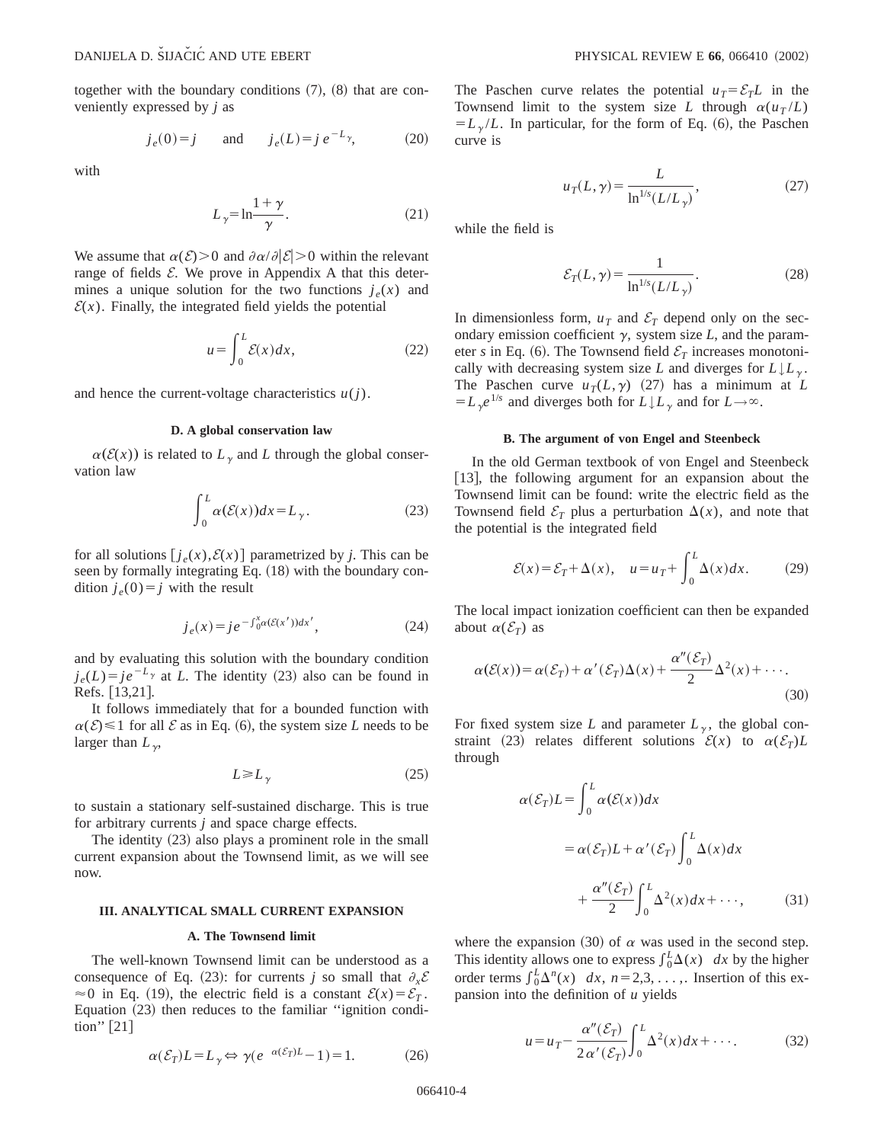together with the boundary conditions  $(7)$ ,  $(8)$  that are conveniently expressed by *j* as

$$
j_e(0) = j
$$
 and  $j_e(L) = j e^{-L_{\gamma}}$ , (20)

with

$$
L_{\gamma} = \ln \frac{1+\gamma}{\gamma}.
$$
 (21)

We assume that  $\alpha(\mathcal{E})>0$  and  $\partial \alpha/\partial |\mathcal{E}|>0$  within the relevant range of fields  $\mathcal E$ . We prove in Appendix A that this determines a unique solution for the two functions  $j_e(x)$  and  $\mathcal{E}(x)$ . Finally, the integrated field yields the potential

$$
u = \int_0^L \mathcal{E}(x) dx,
$$
 (22)

and hence the current-voltage characteristics  $u(j)$ .

### **D. A global conservation law**

 $\alpha(\mathcal{E}(x))$  is related to  $L_{\gamma}$  and *L* through the global conservation law

$$
\int_0^L \alpha(\mathcal{E}(x))dx = L_\gamma.
$$
 (23)

for all solutions  $[j_e(x), \mathcal{E}(x)]$  parametrized by *j*. This can be seen by formally integrating Eq.  $(18)$  with the boundary condition  $j_e(0) = j$  with the result

$$
j_e(x) = je^{-\int_0^x \alpha(\mathcal{E}(x'))dx'},\tag{24}
$$

and by evaluating this solution with the boundary condition  $j_e(L) = je^{-L_{\gamma}}$  at *L*. The identity (23) also can be found in Refs. [13,21].

It follows immediately that for a bounded function with  $\alpha(\mathcal{E}) \leq 1$  for all  $\mathcal E$  as in Eq. (6), the system size *L* needs to be larger than  $L_{\gamma}$ ,

$$
L \geq L_{\gamma} \tag{25}
$$

to sustain a stationary self-sustained discharge. This is true for arbitrary currents *j* and space charge effects.

The identity  $(23)$  also plays a prominent role in the small current expansion about the Townsend limit, as we will see now.

## **III. ANALYTICAL SMALL CURRENT EXPANSION**

### **A. The Townsend limit**

The well-known Townsend limit can be understood as a consequence of Eq. (23): for currents *j* so small that  $\partial_x \mathcal{E}$  $\approx$  0 in Eq. (19), the electric field is a constant  $\mathcal{E}(x) = \mathcal{E}_T$ . Equation  $(23)$  then reduces to the familiar "ignition condition"  $[21]$ 

The Paschen curve relates the potential  $u_T = \mathcal{E}_T L$  in the Townsend limit to the system size *L* through  $\alpha(u_T/L)$  $=L_{\gamma}/L$ . In particular, for the form of Eq. (6), the Paschen curve is

$$
u_T(L,\gamma) = \frac{L}{\ln^{1/s}(L/L_\gamma)},\tag{27}
$$

while the field is

$$
\mathcal{E}_T(L,\gamma) = \frac{1}{\ln^{1/s}(L/L_\gamma)}.\tag{28}
$$

In dimensionless form,  $u_T$  and  $\mathcal{E}_T$  depend only on the secondary emission coefficient  $\gamma$ , system size *L*, and the parameter *s* in Eq. (6). The Townsend field  $\mathcal{E}_T$  increases monotonically with decreasing system size *L* and diverges for  $L \downarrow L_{\gamma}$ . The Paschen curve  $u_T(L, \gamma)$  (27) has a minimum at *L*  $= L_{\gamma} e^{1/s}$  and diverges both for  $L \downarrow L_{\gamma}$  and for  $L \rightarrow \infty$ .

### **B. The argument of von Engel and Steenbeck**

In the old German textbook of von Engel and Steenbeck [13], the following argument for an expansion about the Townsend limit can be found: write the electric field as the Townsend field  $\mathcal{E}_T$  plus a perturbation  $\Delta(x)$ , and note that the potential is the integrated field

$$
\mathcal{E}(x) = \mathcal{E}_T + \Delta(x), \quad u = u_T + \int_0^L \Delta(x) dx. \tag{29}
$$

The local impact ionization coefficient can then be expanded about  $\alpha(\mathcal{E}_T)$  as

$$
\alpha(\mathcal{E}(x)) = \alpha(\mathcal{E}_T) + \alpha'(\mathcal{E}_T)\Delta(x) + \frac{\alpha''(\mathcal{E}_T)}{2}\Delta^2(x) + \cdots.
$$
\n(30)

For fixed system size *L* and parameter  $L_{\gamma}$ , the global constraint (23) relates different solutions  $\mathcal{E}(x)$  to  $\alpha(\mathcal{E}_T)L$ through

$$
\alpha(\mathcal{E}_T)L = \int_0^L \alpha(\mathcal{E}(x))dx
$$
  
=  $\alpha(\mathcal{E}_T)L + \alpha'(\mathcal{E}_T) \int_0^L \Delta(x)dx$   
+  $\frac{\alpha''(\mathcal{E}_T)}{2} \int_0^L \Delta^2(x)dx + \cdots,$  (31)

where the expansion (30) of  $\alpha$  was used in the second step. This identity allows one to express  $\int_0^L \Delta(x) dx$  by the higher order terms  $\int_0^L \Delta^n(x) dx$ ,  $n=2,3,...$ , Insertion of this expansion into the definition of *u* yields

$$
u = u_T - \frac{\alpha''(\mathcal{E}_T)}{2\alpha'(\mathcal{E}_T)} \int_0^L \Delta^2(x) dx + \cdots. \tag{32}
$$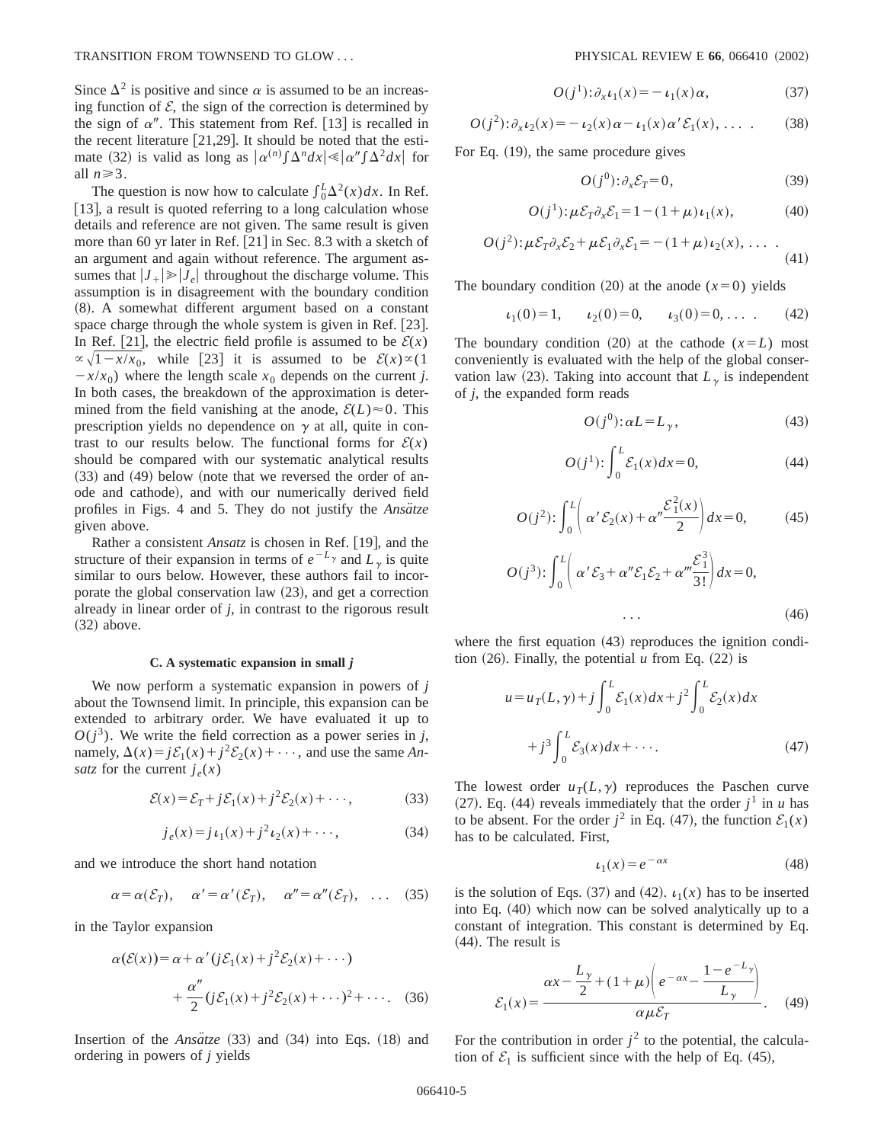Since  $\Delta^2$  is positive and since  $\alpha$  is assumed to be an increasing function of  $\mathcal E$ , the sign of the correction is determined by the sign of  $\alpha''$ . This statement from Ref. [13] is recalled in the recent literature  $[21,29]$ . It should be noted that the estimate (32) is valid as long as  $|\alpha^{(n)}\int \Delta^n dx| \le |\alpha^n\int \Delta^2 dx|$  for all  $n \geq 3$ .

The question is now how to calculate  $\int_0^L \Delta^2(x) dx$ . In Ref. [13], a result is quoted referring to a long calculation whose details and reference are not given. The same result is given more than 60 yr later in Ref.  $[21]$  in Sec. 8.3 with a sketch of an argument and again without reference. The argument assumes that  $|J_+| \ge |J_e|$  throughout the discharge volume. This assumption is in disagreement with the boundary condition  $(8)$ . A somewhat different argument based on a constant space charge through the whole system is given in Ref. [23]. In Ref. [21], the electric field profile is assumed to be  $\mathcal{E}(x)$  $\alpha \sqrt{1-x/x_0}$ , while [23] it is assumed to be  $\mathcal{E}(x) \propto (1-x_0)^2$  $-x/x_0$ ) where the length scale  $x_0$  depends on the current *j*. In both cases, the breakdown of the approximation is determined from the field vanishing at the anode,  $\mathcal{E}(L) \approx 0$ . This prescription yields no dependence on  $\gamma$  at all, quite in contrast to our results below. The functional forms for  $\mathcal{E}(x)$ should be compared with our systematic analytical results  $(33)$  and  $(49)$  below (note that we reversed the order of anode and cathode), and with our numerically derived field profiles in Figs. 4 and 5. They do not justify the *Ansatze* given above.

Rather a consistent *Ansatz* is chosen in Ref. [19], and the structure of their expansion in terms of  $e^{-L_{\gamma}}$  and  $L_{\gamma}$  is quite similar to ours below. However, these authors fail to incorporate the global conservation law  $(23)$ , and get a correction already in linear order of *j*, in contrast to the rigorous result  $(32)$  above.

#### **C. A systematic expansion in small** *j*

We now perform a systematic expansion in powers of *j* about the Townsend limit. In principle, this expansion can be extended to arbitrary order. We have evaluated it up to  $O(j^3)$ . We write the field correction as a power series in *j*, namely,  $\Delta(x) = j\mathcal{E}_1(x) + j^2 \mathcal{E}_2(x) + \cdots$ , and use the same *Ansatz* for the current  $j_e(x)$ 

$$
\mathcal{E}(x) = \mathcal{E}_T + j\mathcal{E}_1(x) + j^2 \mathcal{E}_2(x) + \cdots,
$$
 (33)

$$
j_e(x) = j\,\iota_1(x) + j^2\,\iota_2(x) + \cdots,\tag{34}
$$

and we introduce the short hand notation

$$
\alpha = \alpha(\mathcal{E}_T), \quad \alpha' = \alpha'(\mathcal{E}_T), \quad \alpha'' = \alpha''(\mathcal{E}_T), \quad \dots \quad (35)
$$

in the Taylor expansion

$$
\alpha(\mathcal{E}(x)) = \alpha + \alpha' (j\mathcal{E}_1(x) + j^2 \mathcal{E}_2(x) + \cdots)
$$
  
+ 
$$
\frac{\alpha''}{2} (j\mathcal{E}_1(x) + j^2 \mathcal{E}_2(x) + \cdots)^2 + \cdots
$$
 (36)

Insertion of the *Ansätze* (33) and (34) into Eqs. (18) and ordering in powers of *j* yields

$$
O(j1): \partial_x \iota_1(x) = -\iota_1(x)\alpha,\tag{37}
$$

$$
O(j^2):\partial_x \iota_2(x) = -\iota_2(x)\alpha - \iota_1(x)\alpha' \mathcal{E}_1(x),\ldots
$$
 (38)

For Eq.  $(19)$ , the same procedure gives

$$
O(j^0): \partial_x \mathcal{E}_T = 0,\tag{39}
$$

$$
O(j1): \mu \mathcal{E}_T \partial_x \mathcal{E}_1 = 1 - (1 + \mu) \iota_1(x), \tag{40}
$$

$$
O(j^2): \mu \mathcal{E}_T \partial_x \mathcal{E}_2 + \mu \mathcal{E}_1 \partial_x \mathcal{E}_1 = -(1 + \mu) \iota_2(x), \dots
$$
\n(41)

The boundary condition  $(20)$  at the anode  $(x=0)$  yields

$$
\iota_1(0) = 1, \qquad \iota_2(0) = 0, \qquad \iota_3(0) = 0, \ldots
$$
 (42)

The boundary condition  $(20)$  at the cathode  $(x=L)$  most conveniently is evaluated with the help of the global conservation law  $(23)$ . Taking into account that  $L<sub>y</sub>$  is independent of *j*, the expanded form reads

$$
O(j^0): \alpha L = L_\gamma,\tag{43}
$$

$$
O(j^1): \int_0^L \mathcal{E}_1(x) dx = 0,
$$
\n(44)

$$
O(j^2): \int_0^L \left( \alpha' \mathcal{E}_2(x) + \alpha'' \frac{\mathcal{E}_1^2(x)}{2} \right) dx = 0, \tag{45}
$$

$$
O(j^3): \int_0^L \left( \alpha' \mathcal{E}_3 + \alpha'' \mathcal{E}_1 \mathcal{E}_2 + \alpha'' \frac{\mathcal{E}_1^3}{3!} \right) dx = 0,
$$
  
... (46)

where the first equation  $(43)$  reproduces the ignition condition  $(26)$ . Finally, the potential *u* from Eq.  $(22)$  is

$$
u = u_T(L, \gamma) + j \int_0^L \mathcal{E}_1(x) dx + j^2 \int_0^L \mathcal{E}_2(x) dx
$$
  
+  $j^3 \int_0^L \mathcal{E}_3(x) dx + \cdots$ . (47)

The lowest order  $u_T(L, \gamma)$  reproduces the Paschen curve (27). Eq. (44) reveals immediately that the order  $j^1$  in *u* has to be absent. For the order  $j^2$  in Eq. (47), the function  $\mathcal{E}_1(x)$ has to be calculated. First,

$$
u_1(x) = e^{-\alpha x} \tag{48}
$$

is the solution of Eqs. (37) and (42).  $\iota_1(x)$  has to be inserted into Eq.  $(40)$  which now can be solved analytically up to a constant of integration. This constant is determined by Eq.  $(44)$ . The result is

$$
\mathcal{E}_1(x) = \frac{\alpha x - \frac{L_{\gamma}}{2} + (1 + \mu) \left(e^{-\alpha x} - \frac{1 - e^{-L_{\gamma}}}{L_{\gamma}}\right)}{\alpha \mu \mathcal{E}_T}.
$$
 (49)

For the contribution in order  $j^2$  to the potential, the calculation of  $\mathcal{E}_1$  is sufficient since with the help of Eq. (45),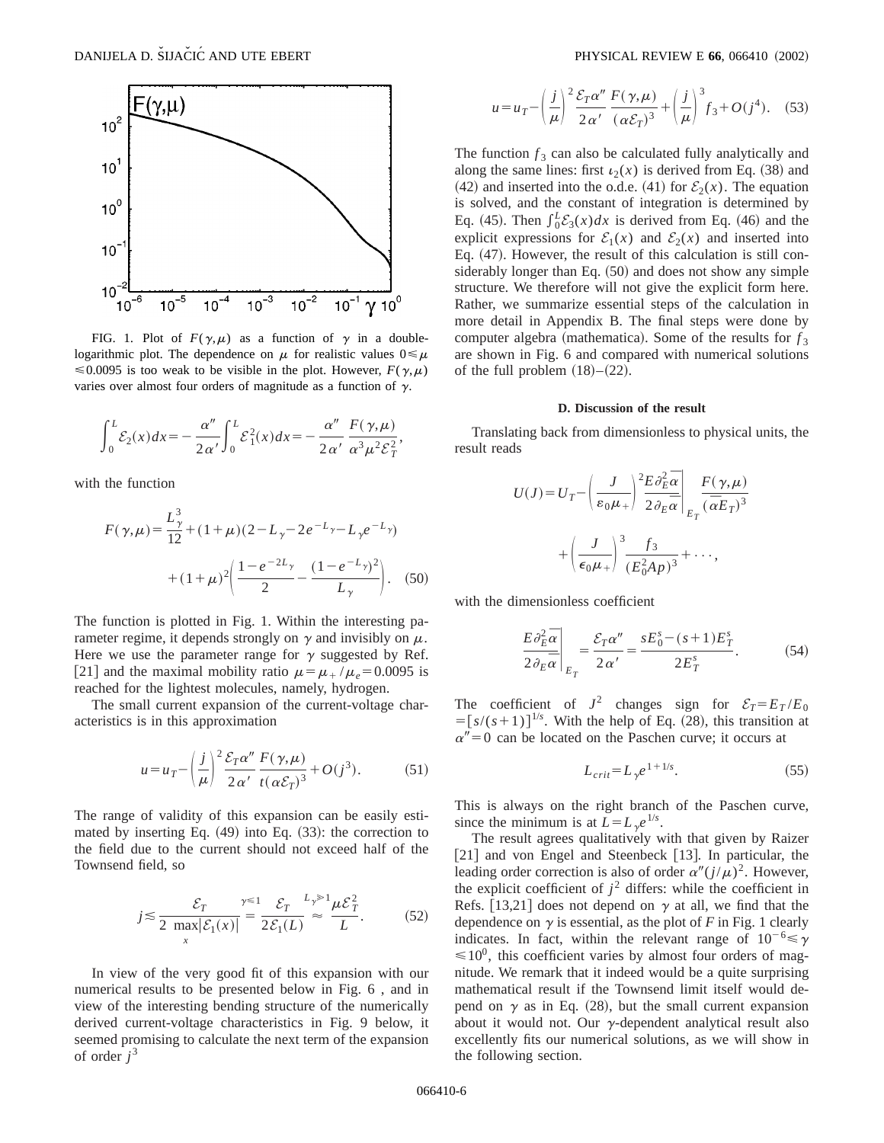

FIG. 1. Plot of  $F(\gamma,\mu)$  as a function of  $\gamma$  in a doublelogarithmic plot. The dependence on  $\mu$  for realistic values  $0 \leq \mu$  $\leq 0.0095$  is too weak to be visible in the plot. However,  $F(\gamma,\mu)$ varies over almost four orders of magnitude as a function of  $\gamma$ .

$$
\int_0^L \mathcal{E}_2(x) dx = -\frac{\alpha''}{2\alpha'} \int_0^L \mathcal{E}_1^2(x) dx = -\frac{\alpha''}{2\alpha'} \frac{F(\gamma,\mu)}{\alpha^3 \mu^2 \mathcal{E}_1^2},
$$

with the function

$$
F(\gamma,\mu) = \frac{L_{\gamma}^{3}}{12} + (1+\mu)(2-L_{\gamma}-2e^{-L_{\gamma}}-L_{\gamma}e^{-L_{\gamma}}) + (1+\mu)^{2}\left(\frac{1-e^{-2L_{\gamma}}}{2} - \frac{(1-e^{-L_{\gamma}})^{2}}{L_{\gamma}}\right).
$$
 (50)

The function is plotted in Fig. 1. Within the interesting parameter regime, it depends strongly on  $\gamma$  and invisibly on  $\mu$ . Here we use the parameter range for  $\gamma$  suggested by Ref. [21] and the maximal mobility ratio  $\mu = \mu_+ / \mu_e = 0.0095$  is reached for the lightest molecules, namely, hydrogen.

The small current expansion of the current-voltage characteristics is in this approximation

$$
u = u_T - \left(\frac{j}{\mu}\right)^2 \frac{\mathcal{E}_T \alpha''}{2\alpha'} \frac{F(\gamma, \mu)}{t(\alpha \mathcal{E}_T)^3} + O(j^3).
$$
 (51)

The range of validity of this expansion can be easily estimated by inserting Eq.  $(49)$  into Eq.  $(33)$ : the correction to the field due to the current should not exceed half of the Townsend field, so

$$
j \lesssim \frac{\mathcal{E}_T}{2 \max\limits_x |\mathcal{E}_1(x)|} \simeq \frac{\mathcal{E}_T}{2 \mathcal{E}_1(L)} \simeq \frac{L_y \gg 1}{L} \mu \mathcal{E}_T^2. \tag{52}
$$

In view of the very good fit of this expansion with our numerical results to be presented below in Fig. 6 , and in view of the interesting bending structure of the numerically derived current-voltage characteristics in Fig. 9 below, it seemed promising to calculate the next term of the expansion of order  $j^3$ 

$$
u = u_T - \left(\frac{j}{\mu}\right)^2 \frac{\mathcal{E}_T \alpha''}{2\alpha'} \frac{F(\gamma, \mu)}{(\alpha \mathcal{E}_T)^3} + \left(\frac{j}{\mu}\right)^3 f_3 + O(j^4). \quad (53)
$$

The function  $f_3$  can also be calculated fully analytically and along the same lines: first  $i_2(x)$  is derived from Eq. (38) and  $(42)$  and inserted into the o.d.e.  $(41)$  for  $\mathcal{E}_2(x)$ . The equation is solved, and the constant of integration is determined by Eq. (45). Then  $\int_0^L \mathcal{E}_3(x) dx$  is derived from Eq. (46) and the explicit expressions for  $\mathcal{E}_1(x)$  and  $\mathcal{E}_2(x)$  and inserted into Eq.  $(47)$ . However, the result of this calculation is still considerably longer than Eq.  $(50)$  and does not show any simple structure. We therefore will not give the explicit form here. Rather, we summarize essential steps of the calculation in more detail in Appendix B. The final steps were done by computer algebra (mathematica). Some of the results for  $f_3$ are shown in Fig. 6 and compared with numerical solutions of the full problem  $(18)–(22)$ .

### **D. Discussion of the result**

Translating back from dimensionless to physical units, the result reads

$$
U(J) = U_T - \left(\frac{J}{\varepsilon_0 \mu_+}\right)^2 \frac{E \partial_E^2 \bar{\alpha}}{2 \partial_E \bar{\alpha}} \Bigg|_{E_T} \frac{F(\gamma, \mu)}{(\bar{\alpha} E_T)^3} + \left(\frac{J}{\epsilon_0 \mu_+}\right)^3 \frac{f_3}{(E_0^2 Ap)^3} + \cdots,
$$

with the dimensionless coefficient

$$
\left. \frac{E \partial_E^2 \bar{\alpha}}{2 \partial_E \bar{\alpha}} \right|_{E_T} = \frac{\mathcal{E}_T \alpha''}{2 \alpha'} = \frac{s E_0^s - (s+1) E_T^s}{2 E_T^s}.
$$
 (54)

The coefficient of  $J^2$  changes sign for  $\mathcal{E}_T = E_T / E_0$  $=\left[s/(s+1)\right]^{1/s}$ . With the help of Eq. (28), this transition at  $\alpha''=0$  can be located on the Paschen curve; it occurs at

$$
L_{crit} = L_{\gamma} e^{1+1/s}.
$$
 (55)

This is always on the right branch of the Paschen curve, since the minimum is at  $L = L<sub>y</sub>e<sup>1/s</sup>$ .

The result agrees qualitatively with that given by Raizer  $[21]$  and von Engel and Steenbeck  $[13]$ . In particular, the leading order correction is also of order  $\alpha''(j/\mu)^2$ . However, the explicit coefficient of  $j^2$  differs: while the coefficient in Refs. [13,21] does not depend on  $\gamma$  at all, we find that the dependence on  $\gamma$  is essential, as the plot of *F* in Fig. 1 clearly indicates. In fact, within the relevant range of  $10^{-6} \le \gamma$  $\leq 10^0$ , this coefficient varies by almost four orders of magnitude. We remark that it indeed would be a quite surprising mathematical result if the Townsend limit itself would depend on  $\gamma$  as in Eq. (28), but the small current expansion about it would not. Our  $\gamma$ -dependent analytical result also excellently fits our numerical solutions, as we will show in the following section.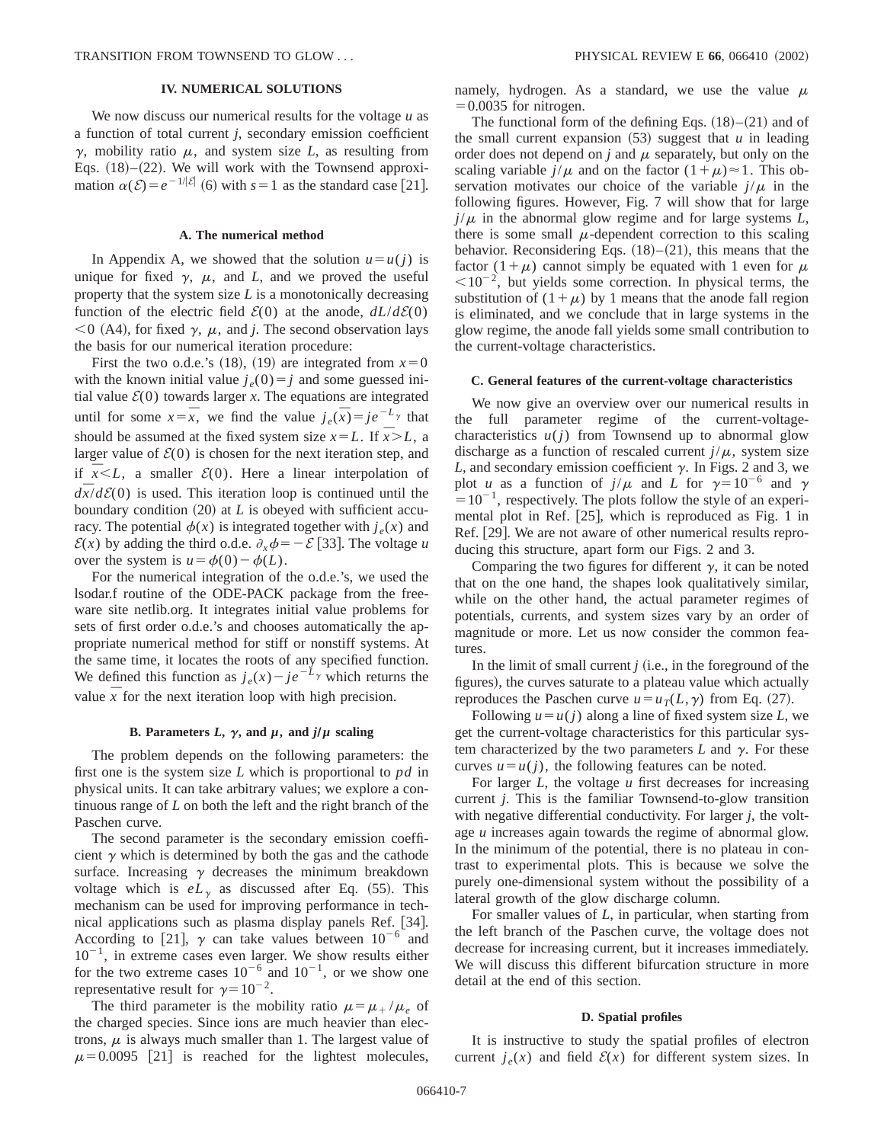# **IV. NUMERICAL SOLUTIONS**

We now discuss our numerical results for the voltage *u* as a function of total current *j*, secondary emission coefficient  $\gamma$ , mobility ratio  $\mu$ , and system size *L*, as resulting from Eqs.  $(18)$ – $(22)$ . We will work with the Townsend approximation  $\alpha(\mathcal{E})=e^{-1/|\mathcal{E}|}$  (6) with  $s=1$  as the standard case [21].

#### **A. The numerical method**

In Appendix A, we showed that the solution  $u=u(j)$  is unique for fixed  $\gamma$ ,  $\mu$ , and *L*, and we proved the useful property that the system size *L* is a monotonically decreasing function of the electric field  $\mathcal{E}(0)$  at the anode,  $dL/d\mathcal{E}(0)$  $<$  0 (A4), for fixed  $\gamma$ ,  $\mu$ , and *j*. The second observation lays the basis for our numerical iteration procedure:

First the two o.d.e.'s (18), (19) are integrated from  $x=0$ with the known initial value  $j_e(0) = j$  and some guessed initial value  $\mathcal{E}(0)$  towards larger *x*. The equations are integrated until for some  $x = \overline{x}$ , we find the value  $j_e(\overline{x}) = je^{-L_y}$  that should be assumed at the fixed system size  $x = L$ . If  $\bar{x} > L$ , a larger value of  $\mathcal{E}(0)$  is chosen for the next iteration step, and if  $\bar{x}$  is a smaller  $\mathcal{E}(0)$ . Here a linear interpolation of  $d\bar{x}/d\mathcal{E}(0)$  is used. This iteration loop is continued until the boundary condition  $(20)$  at *L* is obeyed with sufficient accuracy. The potential  $\phi(x)$  is integrated together with  $j_e(x)$  and  $\mathcal{E}(x)$  by adding the third o.d.e.  $\partial_x \phi = -\mathcal{E}$  [33]. The voltage *u* over the system is  $u = \phi(0) - \phi(L)$ .

For the numerical integration of the o.d.e.'s, we used the lsodar.f routine of the ODE-PACK package from the freeware site netlib.org. It integrates initial value problems for sets of first order o.d.e.'s and chooses automatically the appropriate numerical method for stiff or nonstiff systems. At the same time, it locates the roots of any specified function. We defined this function as  $j_e(x) - je^{-L_x}$  which returns the value  $\bar{x}$  for the next iteration loop with high precision.

## **B.** Parameters *L*,  $\gamma$ , and  $\mu$ , and  $j/\mu$  scaling

The problem depends on the following parameters: the first one is the system size *L* which is proportional to *pd* in physical units. It can take arbitrary values; we explore a continuous range of *L* on both the left and the right branch of the Paschen curve.

The second parameter is the secondary emission coefficient  $\gamma$  which is determined by both the gas and the cathode surface. Increasing  $\gamma$  decreases the minimum breakdown voltage which is  $eL<sub>y</sub>$  as discussed after Eq. (55). This mechanism can be used for improving performance in technical applications such as plasma display panels Ref. [34]. According to [21],  $\gamma$  can take values between 10<sup>-6</sup> and  $10^{-1}$ , in extreme cases even larger. We show results either for the two extreme cases  $10^{-6}$  and  $10^{-1}$ , or we show one representative result for  $\gamma=10^{-2}$ .

The third parameter is the mobility ratio  $\mu = \mu_+ / \mu_e$  of the charged species. Since ions are much heavier than electrons,  $\mu$  is always much smaller than 1. The largest value of  $\mu$ =0.0095 [21] is reached for the lightest molecules, namely, hydrogen. As a standard, we use the value  $\mu$  $=0.0035$  for nitrogen.

The functional form of the defining Eqs.  $(18)–(21)$  and of the small current expansion  $(53)$  suggest that *u* in leading order does not depend on  $j$  and  $\mu$  separately, but only on the scaling variable  $j/\mu$  and on the factor  $(1+\mu) \approx 1$ . This observation motivates our choice of the variable  $j/\mu$  in the following figures. However, Fig. 7 will show that for large  $j/\mu$  in the abnormal glow regime and for large systems *L*, there is some small  $\mu$ -dependent correction to this scaling behavior. Reconsidering Eqs.  $(18)–(21)$ , this means that the factor  $(1+\mu)$  cannot simply be equated with 1 even for  $\mu$  $\leq 10^{-2}$ , but yields some correction. In physical terms, the substitution of  $(1+\mu)$  by 1 means that the anode fall region is eliminated, and we conclude that in large systems in the glow regime, the anode fall yields some small contribution to the current-voltage characteristics.

## **C. General features of the current-voltage characteristics**

We now give an overview over our numerical results in the full parameter regime of the current-voltagecharacteristics  $u(j)$  from Townsend up to abnormal glow discharge as a function of rescaled current  $j/\mu$ , system size *L*, and secondary emission coefficient  $\gamma$ . In Figs. 2 and 3, we plot *u* as a function of  $j/\mu$  and *L* for  $\gamma=10^{-6}$  and  $\gamma$  $=10^{-1}$ , respectively. The plots follow the style of an experimental plot in Ref.  $[25]$ , which is reproduced as Fig. 1 in Ref. [29]. We are not aware of other numerical results reproducing this structure, apart form our Figs. 2 and 3.

Comparing the two figures for different  $\gamma$ , it can be noted that on the one hand, the shapes look qualitatively similar, while on the other hand, the actual parameter regimes of potentials, currents, and system sizes vary by an order of magnitude or more. Let us now consider the common features.

In the limit of small current  $j$  (i.e., in the foreground of the figures), the curves saturate to a plateau value which actually reproduces the Paschen curve  $u = u_T(L, \gamma)$  from Eq. (27).

Following  $u = u(j)$  along a line of fixed system size *L*, we get the current-voltage characteristics for this particular system characterized by the two parameters  $L$  and  $\gamma$ . For these curves  $u=u(j)$ , the following features can be noted.

For larger *L*, the voltage *u* first decreases for increasing current *j*. This is the familiar Townsend-to-glow transition with negative differential conductivity. For larger *j*, the voltage *u* increases again towards the regime of abnormal glow. In the minimum of the potential, there is no plateau in contrast to experimental plots. This is because we solve the purely one-dimensional system without the possibility of a lateral growth of the glow discharge column.

For smaller values of *L*, in particular, when starting from the left branch of the Paschen curve, the voltage does not decrease for increasing current, but it increases immediately. We will discuss this different bifurcation structure in more detail at the end of this section.

#### **D. Spatial profiles**

It is instructive to study the spatial profiles of electron current  $j_e(x)$  and field  $\mathcal{E}(x)$  for different system sizes. In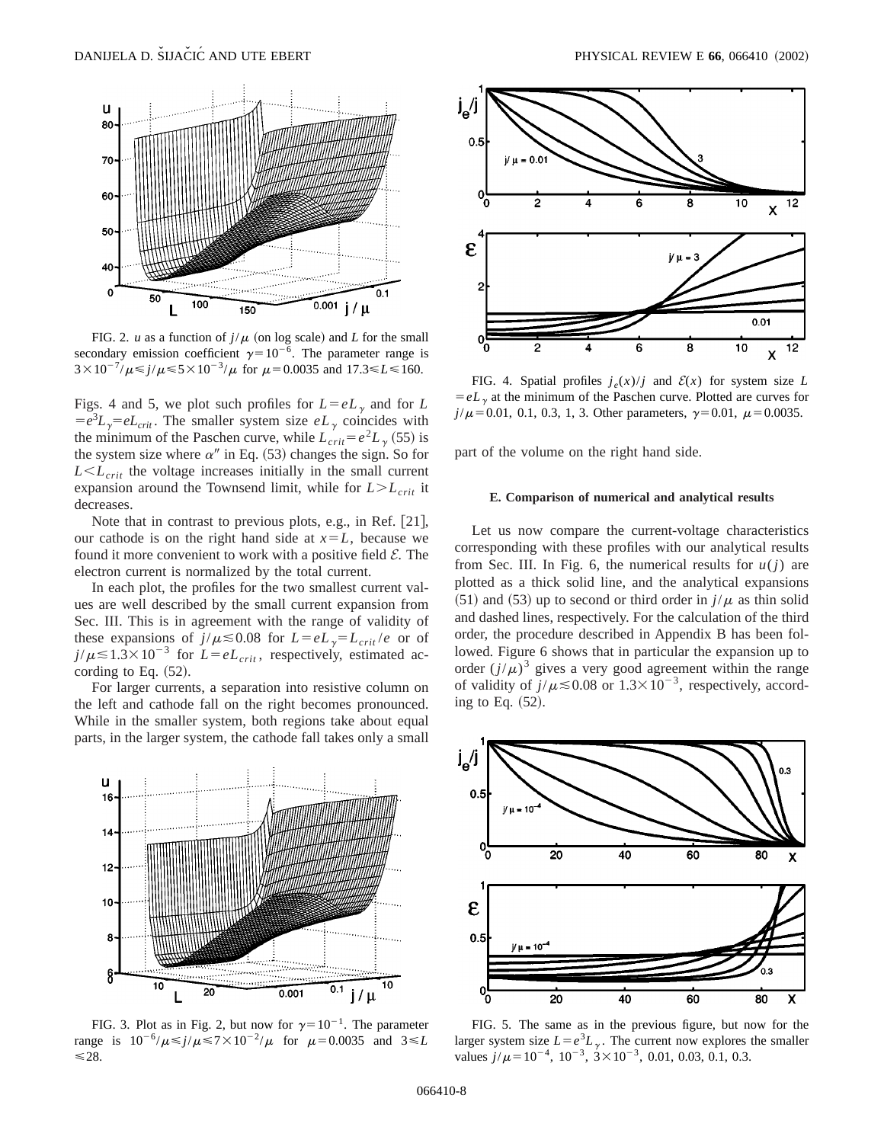

FIG. 2. *u* as a function of  $j/\mu$  (on log scale) and *L* for the small secondary emission coefficient  $\gamma=10^{-6}$ . The parameter range is  $3 \times 10^{-7} / \mu \le j / \mu \le 5 \times 10^{-3} / \mu$  for  $\mu = 0.0035$  and  $17.3 \le L \le 160$ .

Figs. 4 and 5, we plot such profiles for  $L = eL_\gamma$  and for *L*  $= e^{3}L_{\gamma} = eL_{crit}$ . The smaller system size  $eL_{\gamma}$  coincides with the minimum of the Paschen curve, while  $L_{crit} = e^2 L_y$  (55) is the system size where  $\alpha''$  in Eq. (53) changes the sign. So for  $L < L_{crit}$  the voltage increases initially in the small current expansion around the Townsend limit, while for  $L>L<sub>crit</sub>$  it decreases.

Note that in contrast to previous plots, e.g., in Ref.  $[21]$ , our cathode is on the right hand side at  $x=L$ , because we found it more convenient to work with a positive field  $\mathcal{E}$ . The electron current is normalized by the total current.

In each plot, the profiles for the two smallest current values are well described by the small current expansion from Sec. III. This is in agreement with the range of validity of these expansions of  $j/\mu \leq 0.08$  for  $L = eL_{\gamma} = L_{crit}/e$  or of  $j/\mu \leq 1.3 \times 10^{-3}$  for  $L = eL_{crit}$ , respectively, estimated according to Eq.  $(52)$ .

For larger currents, a separation into resistive column on the left and cathode fall on the right becomes pronounced. While in the smaller system, both regions take about equal parts, in the larger system, the cathode fall takes only a small



FIG. 3. Plot as in Fig. 2, but now for  $\gamma=10^{-1}$ . The parameter range is  $10^{-6}/\mu \le j/\mu \le 7 \times 10^{-2}/\mu$  for  $\mu = 0.0035$  and  $3 \le L$  $\leq 28.$ 



FIG. 4. Spatial profiles  $j_e(x)/j$  and  $\mathcal{E}(x)$  for system size *L*  $= eL<sub>y</sub>$  at the minimum of the Paschen curve. Plotted are curves for  $j/\mu$ =0.01, 0.1, 0.3, 1, 3. Other parameters,  $\gamma$ =0.01,  $\mu$ =0.0035.

part of the volume on the right hand side.

### **E. Comparison of numerical and analytical results**

Let us now compare the current-voltage characteristics corresponding with these profiles with our analytical results from Sec. III. In Fig. 6, the numerical results for  $u(j)$  are plotted as a thick solid line, and the analytical expansions  $(51)$  and  $(53)$  up to second or third order in  $j/\mu$  as thin solid and dashed lines, respectively. For the calculation of the third order, the procedure described in Appendix B has been followed. Figure 6 shows that in particular the expansion up to order  $(j/\mu)^3$  gives a very good agreement within the range of validity of  $j/\mu \leq 0.08$  or  $1.3 \times 10^{-3}$ , respectively, according to Eq.  $(52)$ .



FIG. 5. The same as in the previous figure, but now for the larger system size  $L = e^3 L_{\gamma}$ . The current now explores the smaller values  $j/\mu$ =10<sup>-4</sup>, 10<sup>-3</sup>, 3×10<sup>-3</sup>, 0.01, 0.03, 0.1, 0.3.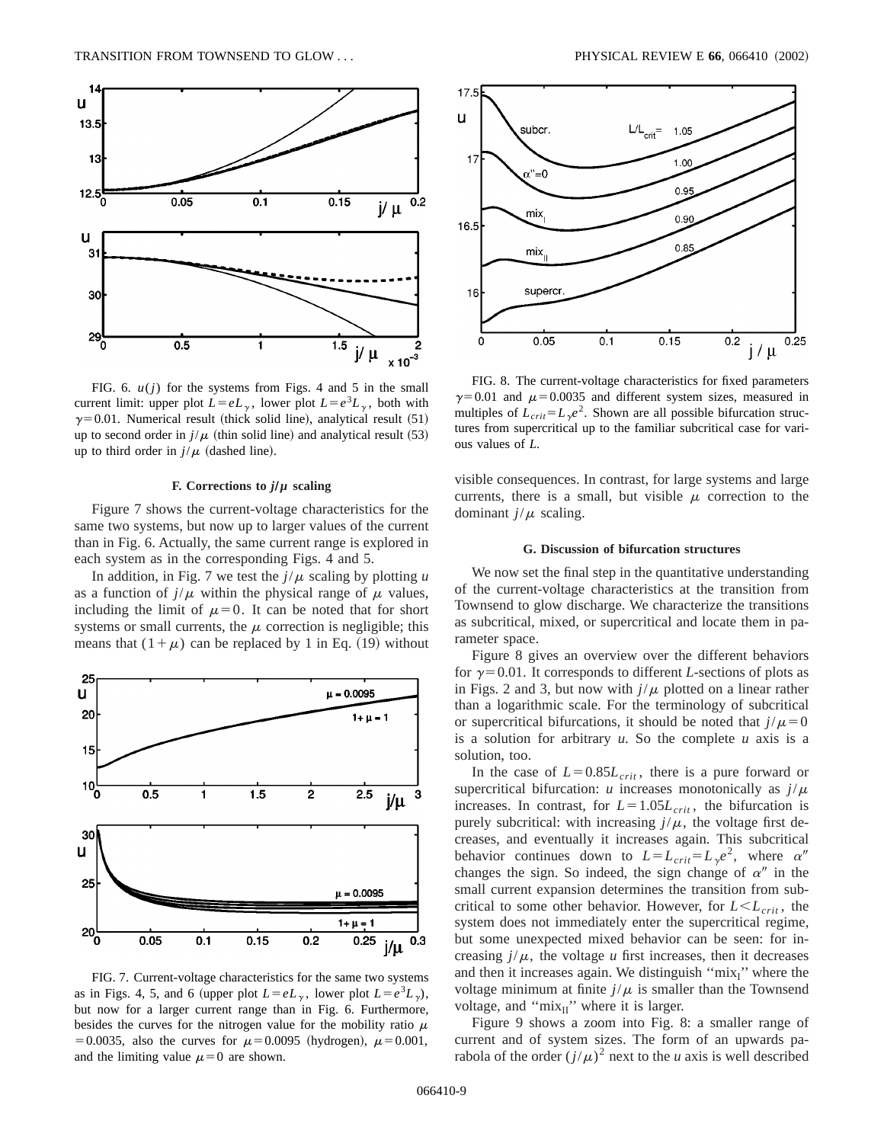

FIG. 6.  $u(j)$  for the systems from Figs. 4 and 5 in the small current limit: upper plot  $L = eL_\gamma$ , lower plot  $L = e^3L_\gamma$ , both with  $\gamma$ =0.01. Numerical result (thick solid line), analytical result (51) up to second order in  $j/\mu$  (thin solid line) and analytical result (53) up to third order in  $j/\mu$  (dashed line).

### **F.** Corrections to  $j/\mu$  scaling

Figure 7 shows the current-voltage characteristics for the same two systems, but now up to larger values of the current than in Fig. 6. Actually, the same current range is explored in each system as in the corresponding Figs. 4 and 5.

In addition, in Fig. 7 we test the  $j/\mu$  scaling by plotting u as a function of  $j/\mu$  within the physical range of  $\mu$  values, including the limit of  $\mu=0$ . It can be noted that for short systems or small currents, the  $\mu$  correction is negligible; this means that  $(1 + \mu)$  can be replaced by 1 in Eq. (19) without



FIG. 7. Current-voltage characteristics for the same two systems as in Figs. 4, 5, and 6 (upper plot  $L = eL_{\gamma}$ , lower plot  $L = e^{3}L_{\gamma}$ ), but now for a larger current range than in Fig. 6. Furthermore, besides the curves for the nitrogen value for the mobility ratio  $\mu$ =0.0035, also the curves for  $\mu$ =0.0095 (hydrogen),  $\mu$ =0.001, and the limiting value  $\mu=0$  are shown.



FIG. 8. The current-voltage characteristics for fixed parameters  $\gamma=0.01$  and  $\mu=0.0035$  and different system sizes, measured in multiples of  $L_{crit} = L_{\gamma}e^2$ . Shown are all possible bifurcation structures from supercritical up to the familiar subcritical case for various values of *L*.

visible consequences. In contrast, for large systems and large currents, there is a small, but visible  $\mu$  correction to the dominant  $j/\mu$  scaling.

## **G. Discussion of bifurcation structures**

We now set the final step in the quantitative understanding of the current-voltage characteristics at the transition from Townsend to glow discharge. We characterize the transitions as subcritical, mixed, or supercritical and locate them in parameter space.

Figure 8 gives an overview over the different behaviors for  $\gamma$ =0.01. It corresponds to different *L*-sections of plots as in Figs. 2 and 3, but now with  $j/\mu$  plotted on a linear rather than a logarithmic scale. For the terminology of subcritical or supercritical bifurcations, it should be noted that  $j/\mu=0$ is a solution for arbitrary *u*. So the complete *u* axis is a solution, too.

In the case of  $L=0.85L<sub>crit</sub>$ , there is a pure forward or supercritical bifurcation: *u* increases monotonically as  $j/\mu$ increases. In contrast, for  $L=1.05L<sub>crit</sub>$ , the bifurcation is purely subcritical: with increasing  $j/\mu$ , the voltage first decreases, and eventually it increases again. This subcritical behavior continues down to  $L = L_{crit} = L_{\gamma}e^2$ , where  $\alpha''$ changes the sign. So indeed, the sign change of  $\alpha''$  in the small current expansion determines the transition from subcritical to some other behavior. However, for  $L < L_{crit}$ , the system does not immediately enter the supercritical regime, but some unexpected mixed behavior can be seen: for increasing  $j/\mu$ , the voltage  $u$  first increases, then it decreases and then it increases again. We distinguish " $mix<sub>I</sub>$ " where the voltage minimum at finite  $j/\mu$  is smaller than the Townsend voltage, and " $mix_{II}$ " where it is larger.

Figure 9 shows a zoom into Fig. 8: a smaller range of current and of system sizes. The form of an upwards parabola of the order  $(j/\mu)^2$  next to the *u* axis is well described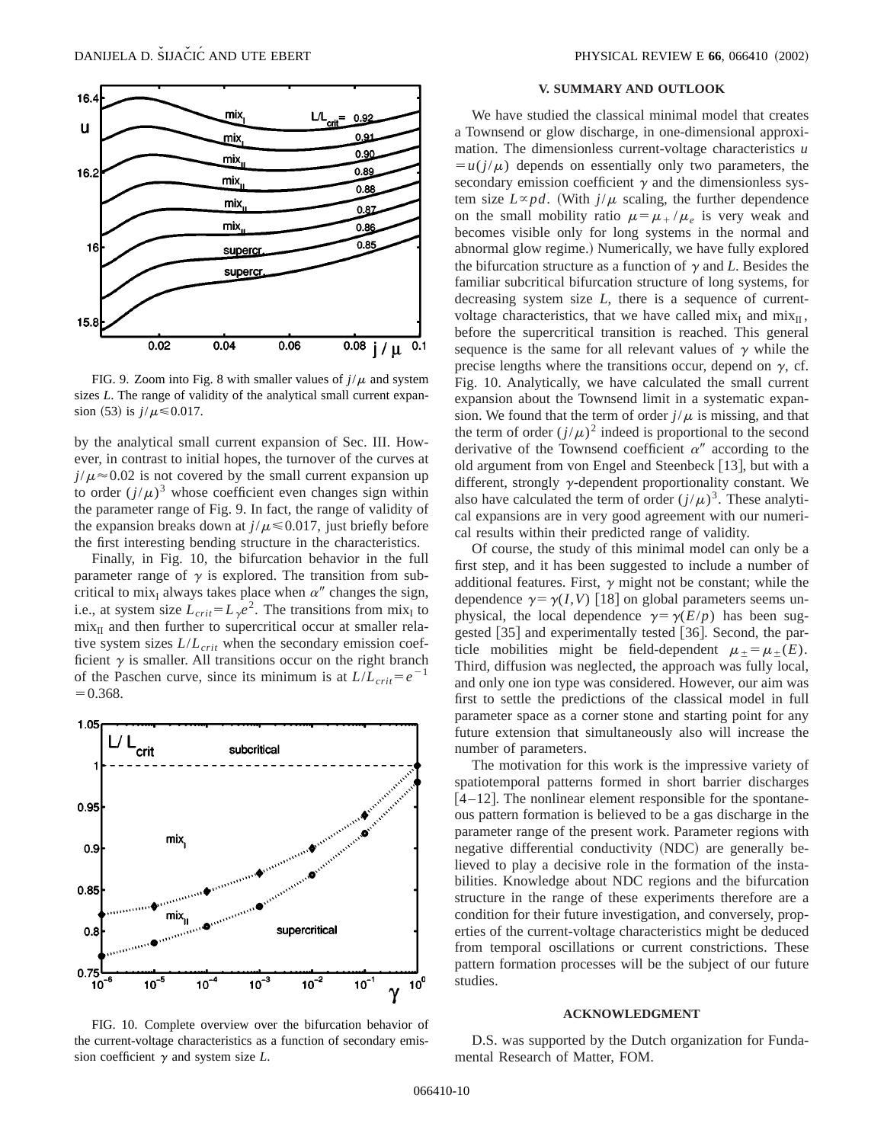

FIG. 9. Zoom into Fig. 8 with smaller values of  $j/\mu$  and system sizes *L*. The range of validity of the analytical small current expansion (53) is  $j/\mu \le 0.017$ .

by the analytical small current expansion of Sec. III. However, in contrast to initial hopes, the turnover of the curves at  $j/\mu \approx 0.02$  is not covered by the small current expansion up to order  $(j/\mu)^3$  whose coefficient even changes sign within the parameter range of Fig. 9. In fact, the range of validity of the expansion breaks down at  $j/\mu \leq 0.017$ , just briefly before the first interesting bending structure in the characteristics.

Finally, in Fig. 10, the bifurcation behavior in the full parameter range of  $\gamma$  is explored. The transition from subcritical to mix<sub>I</sub> always takes place when  $\alpha''$  changes the sign, i.e., at system size  $L_{crit} = L_{\gamma}e^2$ . The transitions from mix<sub>I</sub> to  $mix_{II}$  and then further to supercritical occur at smaller relative system sizes  $L/L_{crit}$  when the secondary emission coefficient  $\gamma$  is smaller. All transitions occur on the right branch of the Paschen curve, since its minimum is at  $L/L_{crit} = e^{-1}$  $= 0.368.$ 



## **V. SUMMARY AND OUTLOOK**

We have studied the classical minimal model that creates a Townsend or glow discharge, in one-dimensional approximation. The dimensionless current-voltage characteristics *u*  $= u(j/\mu)$  depends on essentially only two parameters, the secondary emission coefficient  $\gamma$  and the dimensionless system size  $L \propto pd$ . (With  $j/\mu$  scaling, the further dependence on the small mobility ratio  $\mu = \mu_+ / \mu_e$  is very weak and becomes visible only for long systems in the normal and abnormal glow regime.) Numerically, we have fully explored the bifurcation structure as a function of  $\gamma$  and *L*. Besides the familiar subcritical bifurcation structure of long systems, for decreasing system size *L*, there is a sequence of currentvoltage characteristics, that we have called  $mix_{\text{I}}$  and  $mix_{\text{II}}$ , before the supercritical transition is reached. This general sequence is the same for all relevant values of  $\gamma$  while the precise lengths where the transitions occur, depend on  $\gamma$ , cf. Fig. 10. Analytically, we have calculated the small current expansion about the Townsend limit in a systematic expansion. We found that the term of order  $j/\mu$  is missing, and that the term of order  $(j/\mu)^2$  indeed is proportional to the second derivative of the Townsend coefficient  $\alpha''$  according to the old argument from von Engel and Steenbeck [13], but with a different, strongly  $\gamma$ -dependent proportionality constant. We also have calculated the term of order  $(j/\mu)^3$ . These analytical expansions are in very good agreement with our numerical results within their predicted range of validity.

Of course, the study of this minimal model can only be a first step, and it has been suggested to include a number of additional features. First,  $\gamma$  might not be constant; while the dependence  $\gamma = \gamma(I, V)$  [18] on global parameters seems unphysical, the local dependence  $\gamma = \gamma(E/p)$  has been suggested  $[35]$  and experimentally tested  $[36]$ . Second, the particle mobilities might be field-dependent  $\mu_{\pm} = \mu_{\pm}(E)$ . Third, diffusion was neglected, the approach was fully local, and only one ion type was considered. However, our aim was first to settle the predictions of the classical model in full parameter space as a corner stone and starting point for any future extension that simultaneously also will increase the number of parameters.

The motivation for this work is the impressive variety of spatiotemporal patterns formed in short barrier discharges  $[4–12]$ . The nonlinear element responsible for the spontaneous pattern formation is believed to be a gas discharge in the parameter range of the present work. Parameter regions with negative differential conductivity (NDC) are generally believed to play a decisive role in the formation of the instabilities. Knowledge about NDC regions and the bifurcation structure in the range of these experiments therefore are a condition for their future investigation, and conversely, properties of the current-voltage characteristics might be deduced from temporal oscillations or current constrictions. These pattern formation processes will be the subject of our future studies.

### **ACKNOWLEDGMENT**

D.S. was supported by the Dutch organization for Fundamental Research of Matter, FOM.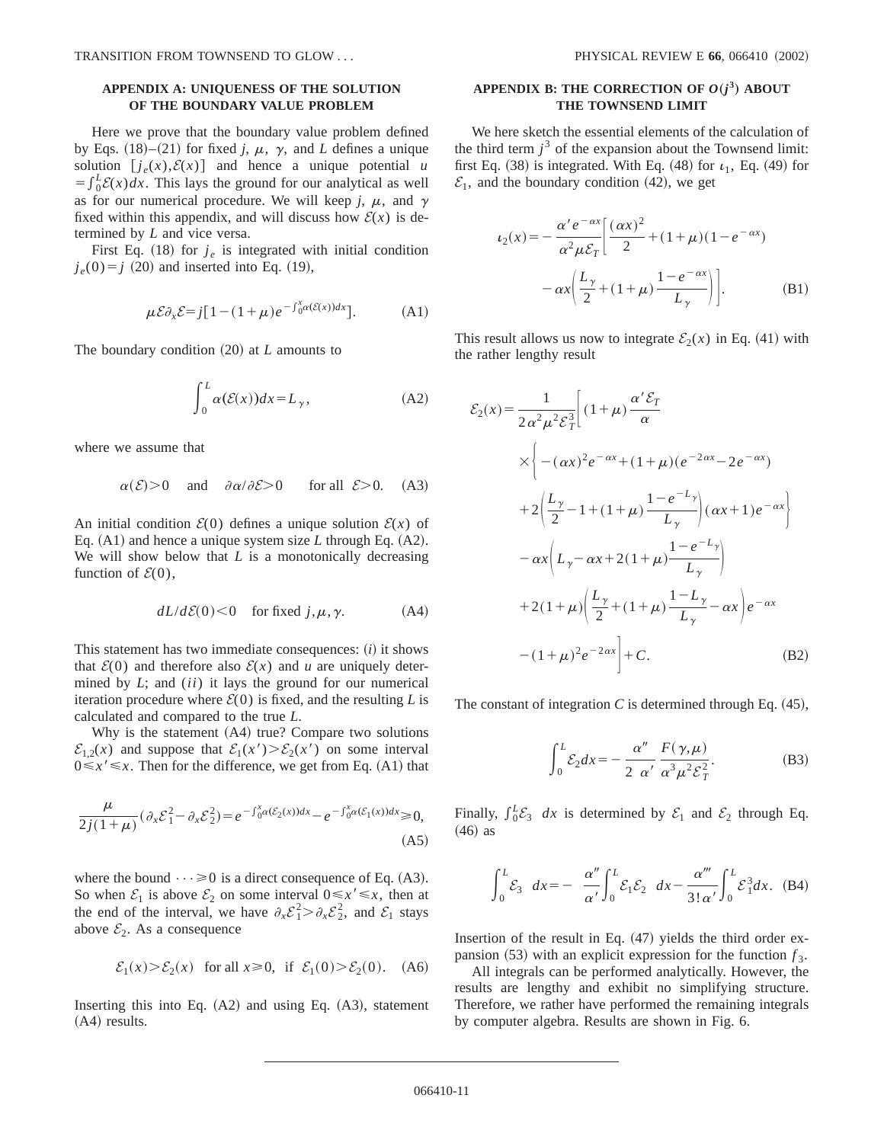# **APPENDIX A: UNIQUENESS OF THE SOLUTION OF THE BOUNDARY VALUE PROBLEM**

Here we prove that the boundary value problem defined by Eqs.  $(18)$ – $(21)$  for fixed *j*,  $\mu$ ,  $\gamma$ , and *L* defines a unique solution  $[j_e(x), \mathcal{E}(x)]$  and hence a unique potential *u*  $=\int_0^L \mathcal{E}(x) dx$ . This lays the ground for our analytical as well as for our numerical procedure. We will keep  $j$ ,  $\mu$ , and  $\gamma$ fixed within this appendix, and will discuss how  $\mathcal{E}(x)$  is determined by *L* and vice versa.

First Eq. (18) for  $j_e$  is integrated with initial condition  $j_e(0) = j$  (20) and inserted into Eq. (19),

$$
\mu \mathcal{E} \partial_x \mathcal{E} = j[1 - (1 + \mu)e^{-\int_0^x \alpha(\mathcal{E}(x))dx}].
$$
 (A1)

The boundary condition  $(20)$  at *L* amounts to

$$
\int_0^L \alpha(\mathcal{E}(x))dx = L_\gamma,\tag{A2}
$$

where we assume that

$$
\alpha(\mathcal{E})>0
$$
 and  $\partial \alpha/\partial \mathcal{E}>0$  for all  $\mathcal{E}>0$ . (A3)

An initial condition  $\mathcal{E}(0)$  defines a unique solution  $\mathcal{E}(x)$  of Eq.  $(A1)$  and hence a unique system size *L* through Eq.  $(A2)$ . We will show below that *L* is a monotonically decreasing function of  $\mathcal{E}(0)$ ,

$$
dL/d\mathcal{E}(0) < 0 \quad \text{for fixed } j, \mu, \gamma. \tag{A4}
$$

This statement has two immediate consequences:  $(i)$  it shows that  $\mathcal{E}(0)$  and therefore also  $\mathcal{E}(x)$  and *u* are uniquely determined by *L*; and (*ii*) it lays the ground for our numerical iteration procedure where  $\mathcal{E}(0)$  is fixed, and the resulting *L* is calculated and compared to the true *L*.

Why is the statement  $(A4)$  true? Compare two solutions  $\mathcal{E}_{1,2}(x)$  and suppose that  $\mathcal{E}_1(x') > \mathcal{E}_2(x')$  on some interval  $0 \leq x' \leq x$ . Then for the difference, we get from Eq. (A1) that

$$
\frac{\mu}{2j(1+\mu)}(\partial_x \mathcal{E}_1^2 - \partial_x \mathcal{E}_2^2) = e^{-\int_0^x \alpha(\mathcal{E}_2(x))dx} - e^{-\int_0^x \alpha(\mathcal{E}_1(x))dx} \ge 0,
$$
\n(A5)

where the bound  $\cdots \ge 0$  is a direct consequence of Eq. (A3). So when  $\mathcal{E}_1$  is above  $\mathcal{E}_2$  on some interval  $0 \le x' \le x$ , then at the end of the interval, we have  $\partial_x \mathcal{E}_1^2 > \partial_x \mathcal{E}_2^2$ , and  $\mathcal{E}_1$  stays above  $\mathcal{E}_2$ . As a consequence

$$
\mathcal{E}_1(x) > \mathcal{E}_2(x)
$$
 for all  $x \ge 0$ , if  $\mathcal{E}_1(0) > \mathcal{E}_2(0)$ . (A6)

Inserting this into Eq.  $(A2)$  and using Eq.  $(A3)$ , statement  $(A4)$  results.

# **APPENDIX B: THE CORRECTION OF**  $O(j^3)$  **ABOUT THE TOWNSEND LIMIT**

We here sketch the essential elements of the calculation of the third term  $j<sup>3</sup>$  of the expansion about the Townsend limit: first Eq. (38) is integrated. With Eq. (48) for  $\iota_1$ , Eq. (49) for  $\mathcal{E}_1$ , and the boundary condition (42), we get

$$
\iota_2(x) = -\frac{\alpha' e^{-\alpha x}}{\alpha^2 \mu \mathcal{E}_T} \left[ \frac{(\alpha x)^2}{2} + (1 + \mu)(1 - e^{-\alpha x}) -\alpha x \left( \frac{L_{\gamma}}{2} + (1 + \mu) \frac{1 - e^{-\alpha x}}{L_{\gamma}} \right) \right].
$$
 (B1)

This result allows us now to integrate  $\mathcal{E}_2(x)$  in Eq. (41) with the rather lengthy result

$$
\mathcal{E}_2(x) = \frac{1}{2\alpha^2 \mu^2 \mathcal{E}_T^3} \Bigg[ (1+\mu) \frac{\alpha' \mathcal{E}_T}{\alpha} \n\times \Bigg\{ -( \alpha x)^2 e^{-\alpha x} + (1+\mu) (e^{-2\alpha x} - 2e^{-\alpha x}) \n+ 2 \Big( \frac{L_\gamma}{2} - 1 + (1+\mu) \frac{1 - e^{-L_\gamma}}{L_\gamma} \Big( \alpha x + 1) e^{-\alpha x} \Bigg\} \n- \alpha x \Bigg( L_\gamma - \alpha x + 2 (1+\mu) \frac{1 - e^{-L_\gamma}}{L_\gamma} \Bigg) \n+ 2 (1+\mu) \Bigg( \frac{L_\gamma}{2} + (1+\mu) \frac{1-L_\gamma}{L_\gamma} - \alpha x \Bigg) e^{-\alpha x} \n- (1+\mu)^2 e^{-2\alpha x} \Bigg] + C.
$$
\n(B2)

The constant of integration  $C$  is determined through Eq.  $(45)$ ,

$$
\int_0^L \mathcal{E}_2 dx = -\frac{\alpha''}{2} \frac{F(\gamma, \mu)}{\alpha^3 \mu^2 \mathcal{E}_T^2}.
$$
 (B3)

Finally,  $\int_0^L \mathcal{E}_3 dx$  is determined by  $\mathcal{E}_1$  and  $\mathcal{E}_2$  through Eq.  $(46)$  as

$$
\int_0^L \mathcal{E}_3 \, dx = -\frac{\alpha''}{\alpha'} \int_0^L \mathcal{E}_1 \mathcal{E}_2 \, dx - \frac{\alpha'''}{3! \, \alpha'} \int_0^L \mathcal{E}_1^3 dx. \quad \text{(B4)}
$$

Insertion of the result in Eq.  $(47)$  yields the third order expansion  $(53)$  with an explicit expression for the function  $f_3$ .

All integrals can be performed analytically. However, the results are lengthy and exhibit no simplifying structure. Therefore, we rather have performed the remaining integrals by computer algebra. Results are shown in Fig. 6.